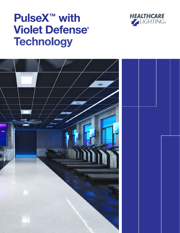

# PulseX<sup>™</sup> with Violet Defense® **Technology**

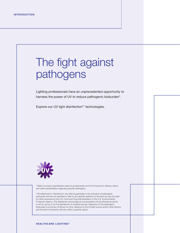# The fight against pathogens

Lighting professionals have an unprecedented opportunity to harness the power of UV to reduce pathogenic bioburden\*.

Explore our UV light disinfection\*\* technologies.



\* Refer to product specification sheet at acuitybrands.com/UV-Products for efficacy claims and claim substantiation regarding specific pathogens.

\*\*All references to "disinfection" are referring generally to the reduction of pathogenic bioburden and are not intended to refer to any specific definition of the term as may be used for other purposes by the U.S. Food and Drug Administration or the U.S. Environmental Protection Agency. The disinfection technology as incorporated in Acuity Brands products is not for use as or for the disinfection of medical devices. Reduction of the pathogenic bioburden is a function of fixture run time, distance to the UV light source and/or other factors, and the level of reduction will vary within a specific space.

#### **HEALTHCARE LIGHTING®**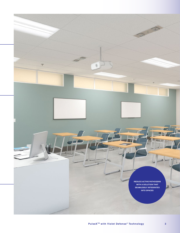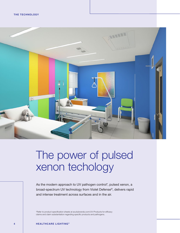

## The power of pulsed xenon techology

As the modern approach to UV pathogen control\*, pulsed xenon, a broad-spectrum UV technology from Violet Defense®, delivers rapid and intense treatment across surfaces and in the air.

\*Refer to product specification sheets at acuitybrands.com/UV-Products for efficacy claims and claim substantiation regarding specific products and pathogens.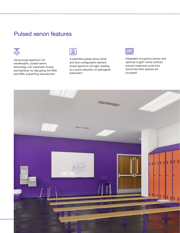### Pulsed xenon features



Using broad spectrum UV wavelengths, pulsed xenon technology can inactivate viruses and bacteria\* by disrupting the RNA and DNA, preventing reproduction



A patented pulsed xenon lamp and lens configuration delivers broad spectrum UV light, leading to a quick reduction of pathogenic bioburden\*



Integrated occupancy sensor and optional nLight® wired controls prevent treatment cycle from occurring when spaces are occupied

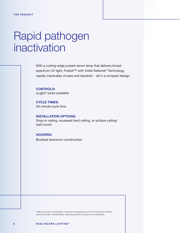## Rapid pathogen inactivation

With a cutting-edge pulsed xenon lamp that delivers broadspectrum UV light, PulseX<sup>™</sup> with Violet Defense® Technology rapidly inactivates viruses and bacteria\* - all in a compact design.

CONTROLS: nLight® wired available

CYCLE TIMES: 30-minute cycle time

INSTALLATION OPTIONS: Drop-in ceiling, recessed hard ceiling, or surface ceiling/ wall mount

HOUSING: Brushed aluminum construction

\*Refer to product specification sheets at acuitybrands.com/UV-Products for efficacy claims and claim substantiation regarding specific products and pathogens.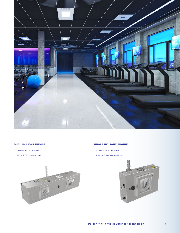

### DUAL UV LIGHT ENGINE

- › Covers 12' x 12' area
- › 24" x 5.75" dimensions



### SINGLE UV LIGHT ENGINE

- › Covers 10' x 10' Area
- › 8.74" x 5.90" dimensions